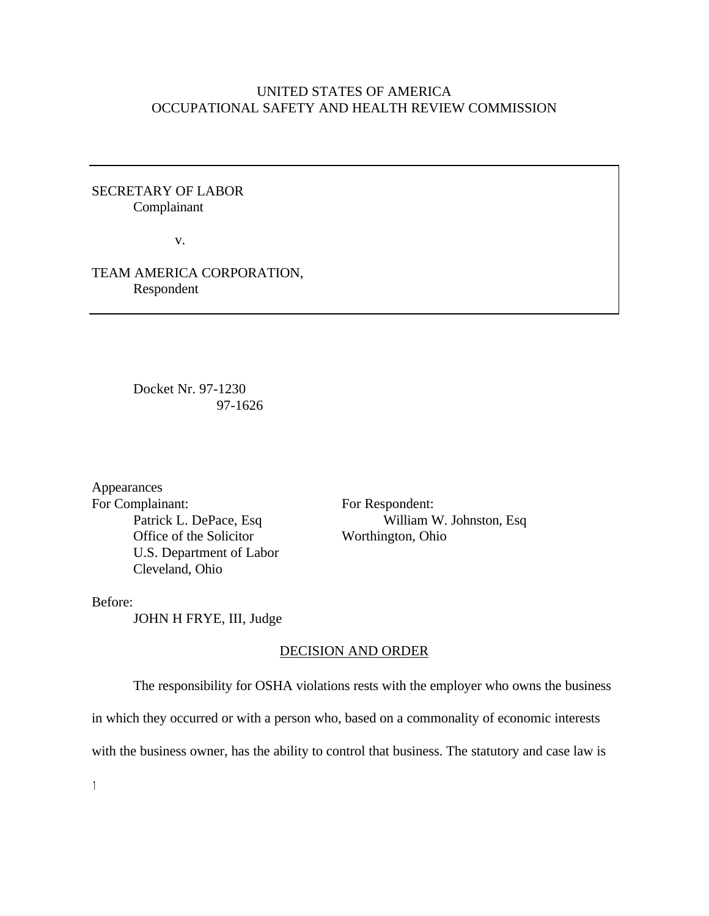## UNITED STATES OF AMERICA OCCUPATIONAL SAFETY AND HEALTH REVIEW COMMISSION

# SECRETARY OF LABOR Complainant

v.

# TEAM AMERICA CORPORATION, Respondent

Docket Nr. 97-1230 97-1626

Appearances For Complainant: For Respondent: Office of the Solicitor Worthington, Ohio U.S. Department of Labor Cleveland, Ohio

Patrick L. DePace, Esq William W. Johnston, Esq

Before:

JOHN H FRYE, III, Judge

#### DECISION AND ORDER

The responsibility for OSHA violations rests with the employer who owns the business

in which they occurred or with a person who, based on a commonality of economic interests

with the business owner, has the ability to control that business. The statutory and case law is

 $\mathbf{1}$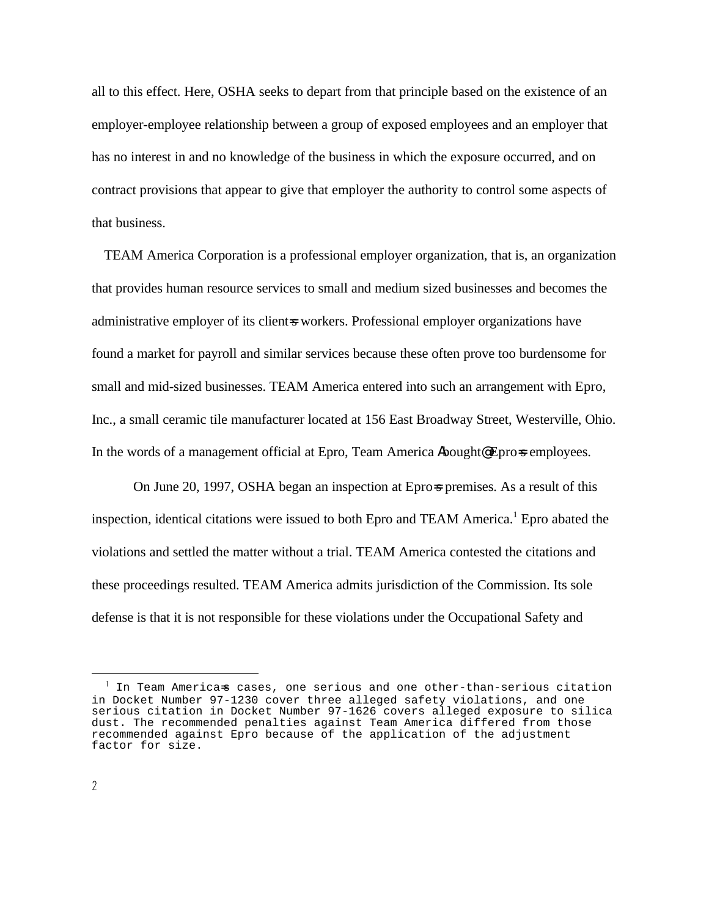all to this effect. Here, OSHA seeks to depart from that principle based on the existence of an employer-employee relationship between a group of exposed employees and an employer that has no interest in and no knowledge of the business in which the exposure occurred, and on contract provisions that appear to give that employer the authority to control some aspects of that business.

TEAM America Corporation is a professional employer organization, that is, an organization that provides human resource services to small and medium sized businesses and becomes the administrative employer of its client=s workers. Professional employer organizations have found a market for payroll and similar services because these often prove too burdensome for small and mid-sized businesses. TEAM America entered into such an arrangement with Epro, Inc., a small ceramic tile manufacturer located at 156 East Broadway Street, Westerville, Ohio. In the words of a management official at Epro, Team America Abought@ Epro=s employees.

On June 20, 1997, OSHA began an inspection at Eprospremises. As a result of this inspection, identical citations were issued to both Epro and TEAM America.<sup>1</sup> Epro abated the violations and settled the matter without a trial. TEAM America contested the citations and these proceedings resulted. TEAM America admits jurisdiction of the Commission. Its sole defense is that it is not responsible for these violations under the Occupational Safety and

 $<sup>1</sup>$  In Team America $\approx$  cases, one serious and one other-than-serious citation</sup> in Docket Number 97-1230 cover three alleged safety violations, and one serious citation in Docket Number 97-1626 covers alleged exposure to silica dust. The recommended penalties against Team America differed from those recommended against Epro because of the application of the adjustment factor for size.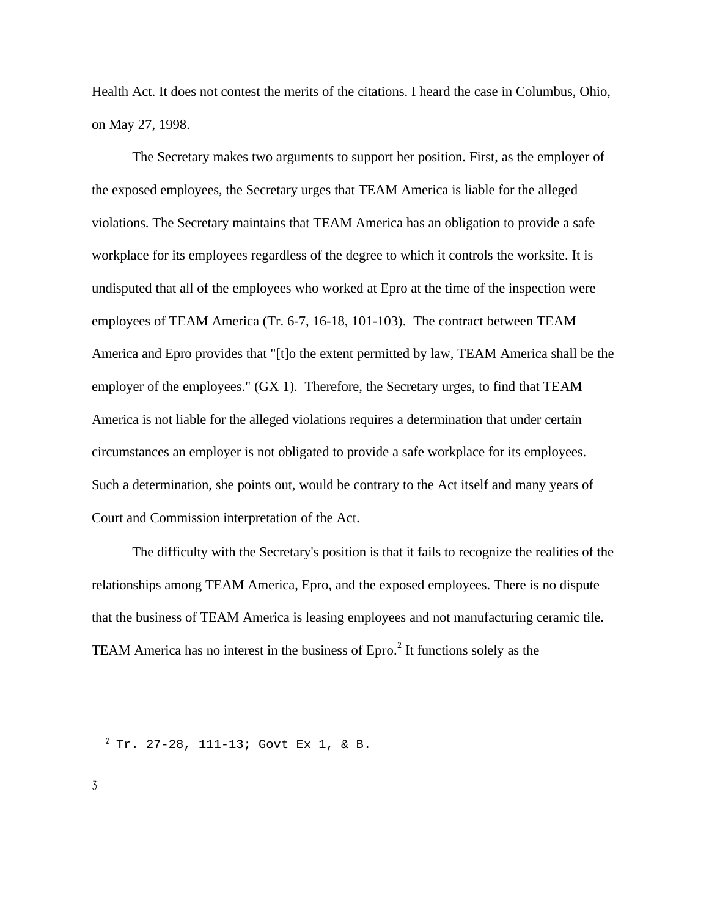Health Act. It does not contest the merits of the citations. I heard the case in Columbus, Ohio, on May 27, 1998.

The Secretary makes two arguments to support her position. First, as the employer of the exposed employees, the Secretary urges that TEAM America is liable for the alleged violations. The Secretary maintains that TEAM America has an obligation to provide a safe workplace for its employees regardless of the degree to which it controls the worksite. It is undisputed that all of the employees who worked at Epro at the time of the inspection were employees of TEAM America (Tr. 6-7, 16-18, 101-103). The contract between TEAM America and Epro provides that "[t]o the extent permitted by law, TEAM America shall be the employer of the employees." (GX 1). Therefore, the Secretary urges, to find that TEAM America is not liable for the alleged violations requires a determination that under certain circumstances an employer is not obligated to provide a safe workplace for its employees. Such a determination, she points out, would be contrary to the Act itself and many years of Court and Commission interpretation of the Act.

The difficulty with the Secretary's position is that it fails to recognize the realities of the relationships among TEAM America, Epro, and the exposed employees. There is no dispute that the business of TEAM America is leasing employees and not manufacturing ceramic tile. TEAM America has no interest in the business of  $E pro<sup>2</sup>$  It functions solely as the

 $T^2$  Tr. 27-28, 111-13; Govt Ex 1, & B.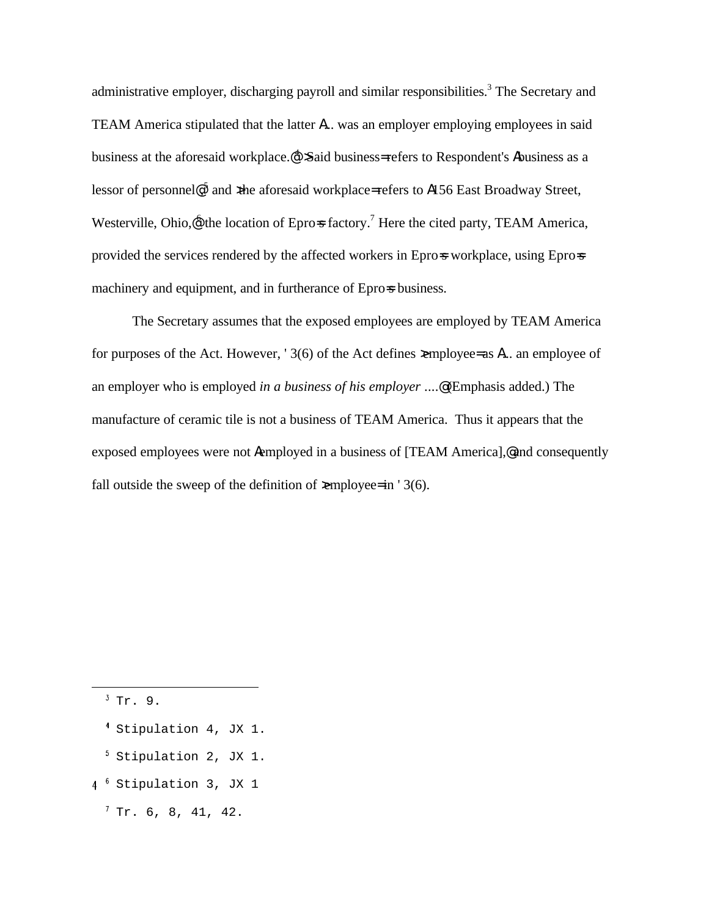administrative employer, discharging payroll and similar responsibilities.<sup>3</sup> The Secretary and TEAM America stipulated that the latter A... was an employer employing employees in said business at the aforesaid workplace.  $\mathcal{A}$  Said business= refers to Respondent's Abusiness as a lessor of personnel@,<sup>5</sup> and xhe aforesaid workplace= refers to A156 East Broadway Street, Westerville, Ohio, $\mathcal{Q}$  the location of Epro=s factory.<sup>7</sup> Here the cited party, TEAM America, provided the services rendered by the affected workers in Epross workplace, using Epross machinery and equipment, and in furtherance of Epro-s business.

The Secretary assumes that the exposed employees are employed by TEAM America for purposes of the Act. However, '3(6) of the Act defines  $\epsilon$ mployee= as  $\lambda$ ... an employee of an employer who is employed *in a business of his employer* ....@ (Emphasis added.) The manufacture of ceramic tile is not a business of TEAM America. Thus it appears that the exposed employees were not Aemployed in a business of [TEAM America],@ and consequently fall outside the sweep of the definition of  $\geq$ mployee= in ' 3(6).

 $3$  Tr. 9.

- Stipulation 4, JX 1.
- $<sup>5</sup>$  Stipulation 2, JX 1.</sup>
- 4<sup>6</sup> Stipulation 3, JX 1
	- $7$  Tr. 6, 8, 41, 42.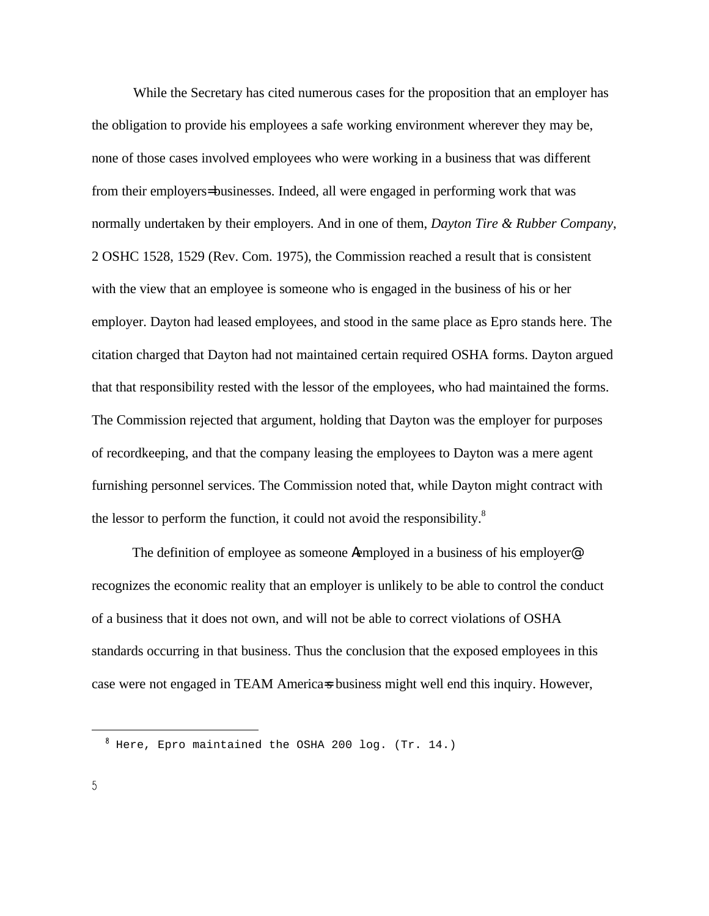While the Secretary has cited numerous cases for the proposition that an employer has the obligation to provide his employees a safe working environment wherever they may be, none of those cases involved employees who were working in a business that was different from their employers= businesses. Indeed, all were engaged in performing work that was normally undertaken by their employers. And in one of them, *Dayton Tire & Rubber Company*, 2 OSHC 1528, 1529 (Rev. Com. 1975), the Commission reached a result that is consistent with the view that an employee is someone who is engaged in the business of his or her employer. Dayton had leased employees, and stood in the same place as Epro stands here. The citation charged that Dayton had not maintained certain required OSHA forms. Dayton argued that that responsibility rested with the lessor of the employees, who had maintained the forms. The Commission rejected that argument, holding that Dayton was the employer for purposes of recordkeeping, and that the company leasing the employees to Dayton was a mere agent furnishing personnel services. The Commission noted that, while Dayton might contract with the lessor to perform the function, it could not avoid the responsibility.<sup>8</sup>

The definition of employee as someone Aemployed in a business of his employer<sup>@</sup> recognizes the economic reality that an employer is unlikely to be able to control the conduct of a business that it does not own, and will not be able to correct violations of OSHA standards occurring in that business. Thus the conclusion that the exposed employees in this case were not engaged in TEAM America=s business might well end this inquiry. However,

 $8$  Here, Epro maintained the OSHA 200 log. (Tr. 14.)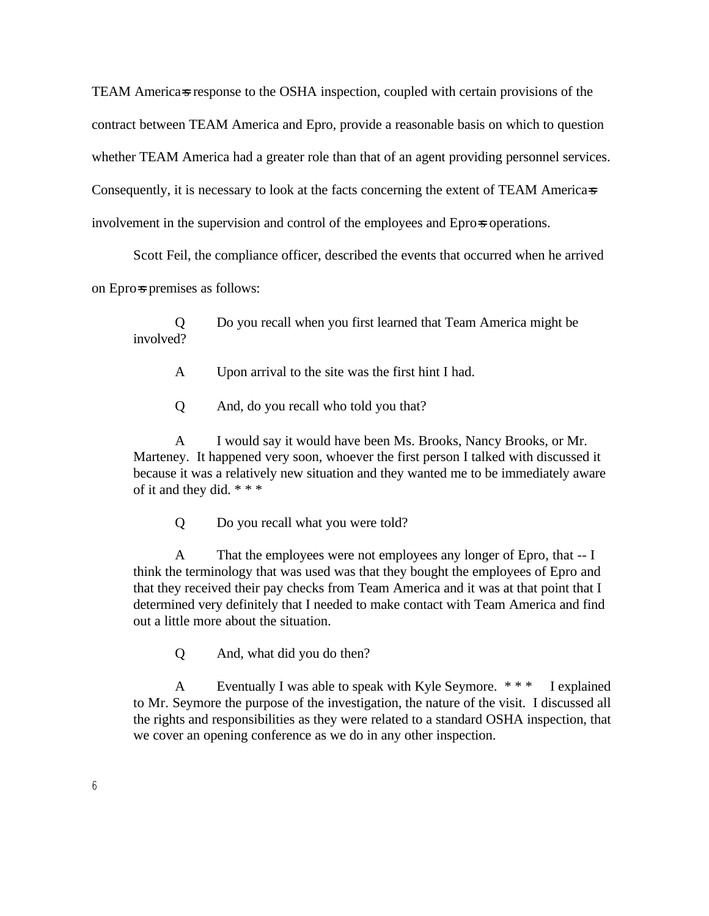TEAM America=s response to the OSHA inspection, coupled with certain provisions of the contract between TEAM America and Epro, provide a reasonable basis on which to question whether TEAM America had a greater role than that of an agent providing personnel services. Consequently, it is necessary to look at the facts concerning the extent of TEAM America=s involvement in the supervision and control of the employees and Epro=s operations.

Scott Feil, the compliance officer, described the events that occurred when he arrived on Epro=s premises as follows:

Q Do you recall when you first learned that Team America might be involved?

- A Upon arrival to the site was the first hint I had.
- Q And, do you recall who told you that?

A I would say it would have been Ms. Brooks, Nancy Brooks, or Mr. Marteney. It happened very soon, whoever the first person I talked with discussed it because it was a relatively new situation and they wanted me to be immediately aware of it and they did. \* \* \*

Q Do you recall what you were told?

A That the employees were not employees any longer of Epro, that -- I think the terminology that was used was that they bought the employees of Epro and that they received their pay checks from Team America and it was at that point that I determined very definitely that I needed to make contact with Team America and find out a little more about the situation.

Q And, what did you do then?

A Eventually I was able to speak with Kyle Seymore. \* \* \* I explained to Mr. Seymore the purpose of the investigation, the nature of the visit. I discussed all the rights and responsibilities as they were related to a standard OSHA inspection, that we cover an opening conference as we do in any other inspection.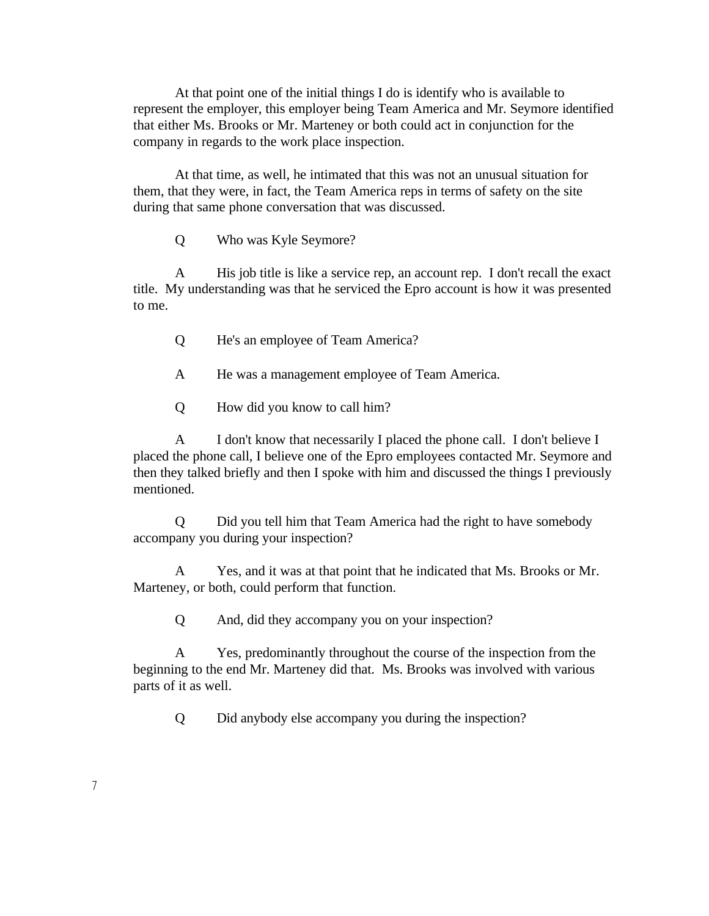At that point one of the initial things I do is identify who is available to represent the employer, this employer being Team America and Mr. Seymore identified that either Ms. Brooks or Mr. Marteney or both could act in conjunction for the company in regards to the work place inspection.

At that time, as well, he intimated that this was not an unusual situation for them, that they were, in fact, the Team America reps in terms of safety on the site during that same phone conversation that was discussed.

Q Who was Kyle Seymore?

A His job title is like a service rep, an account rep. I don't recall the exact title. My understanding was that he serviced the Epro account is how it was presented to me.

- Q He's an employee of Team America?
- A He was a management employee of Team America.
- Q How did you know to call him?

A I don't know that necessarily I placed the phone call. I don't believe I placed the phone call, I believe one of the Epro employees contacted Mr. Seymore and then they talked briefly and then I spoke with him and discussed the things I previously mentioned.

Q Did you tell him that Team America had the right to have somebody accompany you during your inspection?

A Yes, and it was at that point that he indicated that Ms. Brooks or Mr. Marteney, or both, could perform that function.

Q And, did they accompany you on your inspection?

A Yes, predominantly throughout the course of the inspection from the beginning to the end Mr. Marteney did that. Ms. Brooks was involved with various parts of it as well.

Q Did anybody else accompany you during the inspection?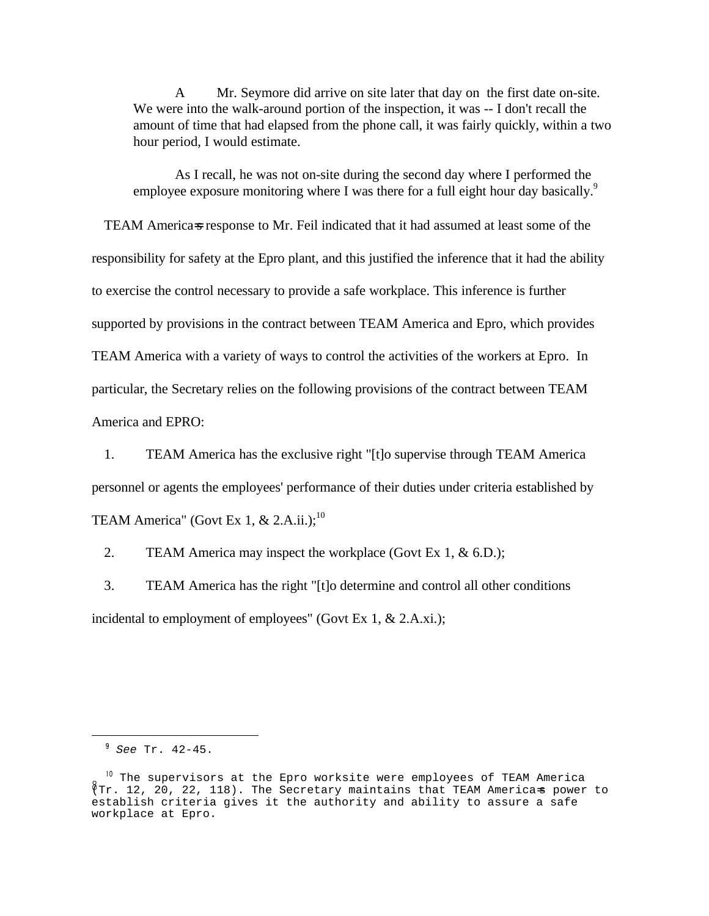A Mr. Seymore did arrive on site later that day on the first date on-site. We were into the walk-around portion of the inspection, it was -- I don't recall the amount of time that had elapsed from the phone call, it was fairly quickly, within a two hour period, I would estimate.

As I recall, he was not on-site during the second day where I performed the employee exposure monitoring where I was there for a full eight hour day basically.<sup>9</sup>

TEAM America=s response to Mr. Feil indicated that it had assumed at least some of the responsibility for safety at the Epro plant, and this justified the inference that it had the ability to exercise the control necessary to provide a safe workplace. This inference is further supported by provisions in the contract between TEAM America and Epro, which provides TEAM America with a variety of ways to control the activities of the workers at Epro. In particular, the Secretary relies on the following provisions of the contract between TEAM America and EPRO:

1. TEAM America has the exclusive right "[t]o supervise through TEAM America personnel or agents the employees' performance of their duties under criteria established by TEAM America" (Govt Ex 1,  $& 2.A.ii.$ );<sup>10</sup>

2. TEAM America may inspect the workplace (Govt Ex 1, & 6.D.);

3. TEAM America has the right "[t]o determine and control all other conditions incidental to employment of employees" (Govt Ex 1, & 2.A.xi.);

 $9 \text{ See Tr. } 42 - 45$ .

 $10$  The supervisors at the Epro worksite were employees of TEAM America (Tr. 12, 20, 22, 118). The Secretary maintains that TEAM America=s power to establish criteria gives it the authority and ability to assure a safe workplace at Epro.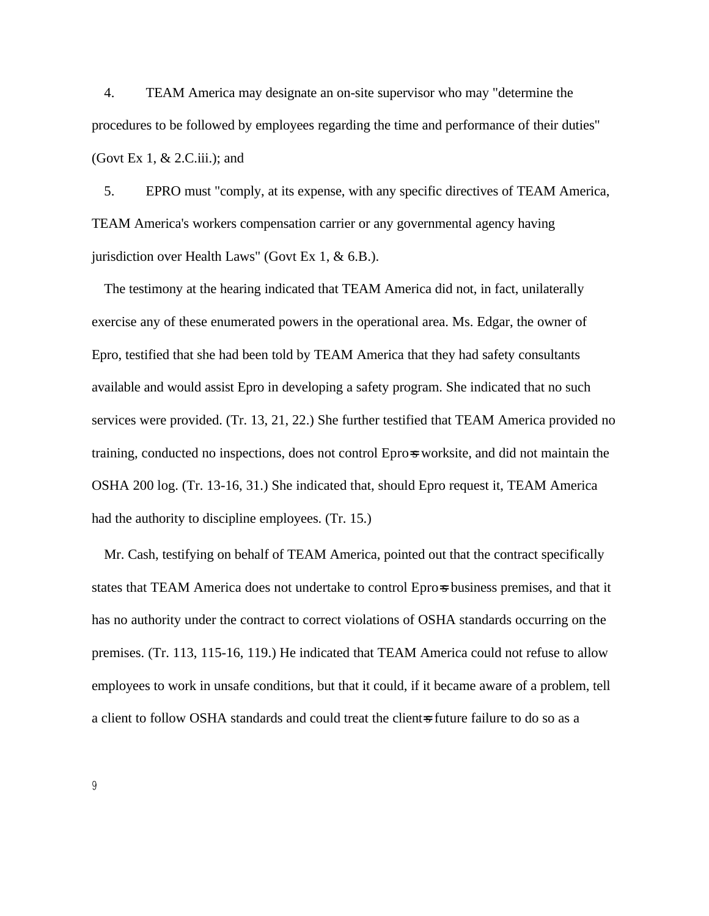4. TEAM America may designate an on-site supervisor who may "determine the procedures to be followed by employees regarding the time and performance of their duties" (Govt Ex 1, & 2.C.iii.); and

5. EPRO must "comply, at its expense, with any specific directives of TEAM America, TEAM America's workers compensation carrier or any governmental agency having jurisdiction over Health Laws" (Govt Ex 1, & 6.B.).

The testimony at the hearing indicated that TEAM America did not, in fact, unilaterally exercise any of these enumerated powers in the operational area. Ms. Edgar, the owner of Epro, testified that she had been told by TEAM America that they had safety consultants available and would assist Epro in developing a safety program. She indicated that no such services were provided. (Tr. 13, 21, 22.) She further testified that TEAM America provided no training, conducted no inspections, does not control Epros worksite, and did not maintain the OSHA 200 log. (Tr. 13-16, 31.) She indicated that, should Epro request it, TEAM America had the authority to discipline employees. (Tr. 15.)

Mr. Cash, testifying on behalf of TEAM America, pointed out that the contract specifically states that TEAM America does not undertake to control Epro-s business premises, and that it has no authority under the contract to correct violations of OSHA standards occurring on the premises. (Tr. 113, 115-16, 119.) He indicated that TEAM America could not refuse to allow employees to work in unsafe conditions, but that it could, if it became aware of a problem, tell a client to follow OSHA standards and could treat the client=s future failure to do so as a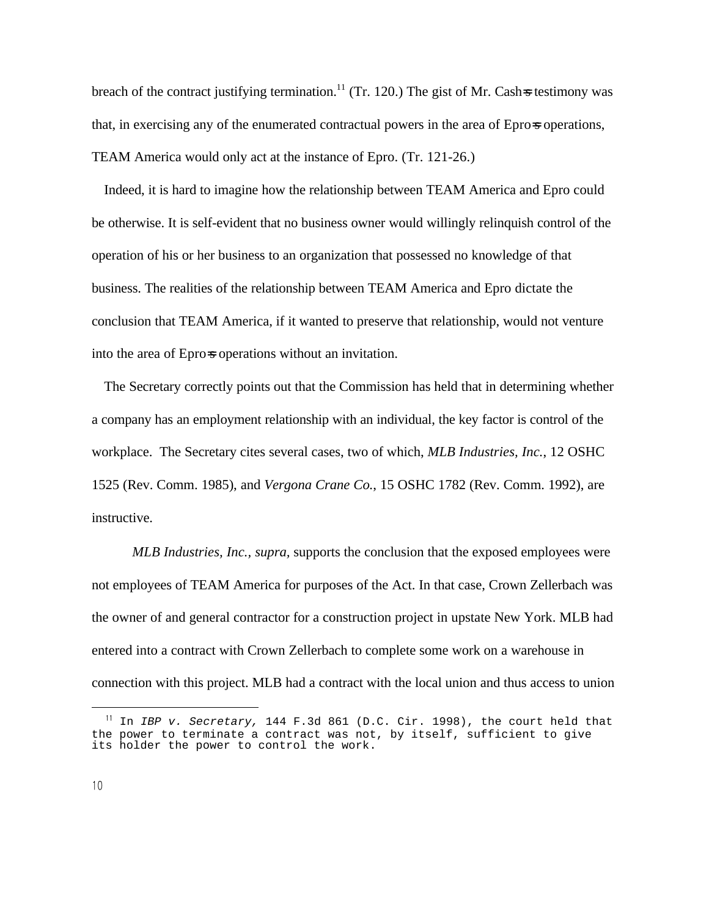breach of the contract justifying termination.<sup>11</sup> (Tr. 120.) The gist of Mr. Cash=s testimony was that, in exercising any of the enumerated contractual powers in the area of Epro=s operations, TEAM America would only act at the instance of Epro. (Tr. 121-26.)

Indeed, it is hard to imagine how the relationship between TEAM America and Epro could be otherwise. It is self-evident that no business owner would willingly relinquish control of the operation of his or her business to an organization that possessed no knowledge of that business. The realities of the relationship between TEAM America and Epro dictate the conclusion that TEAM America, if it wanted to preserve that relationship, would not venture into the area of Epro=s operations without an invitation.

The Secretary correctly points out that the Commission has held that in determining whether a company has an employment relationship with an individual, the key factor is control of the workplace. The Secretary cites several cases, two of which, *MLB Industries, Inc.*, 12 OSHC 1525 (Rev. Comm. 1985), and *Vergona Crane Co.*, 15 OSHC 1782 (Rev. Comm. 1992), are instructive.

*MLB Industries, Inc., supra,* supports the conclusion that the exposed employees were not employees of TEAM America for purposes of the Act. In that case, Crown Zellerbach was the owner of and general contractor for a construction project in upstate New York. MLB had entered into a contract with Crown Zellerbach to complete some work on a warehouse in connection with this project. MLB had a contract with the local union and thus access to union

In IBP v. Secretary, 144 F.3d 861 (D.C. Cir. 1998), the court held that the power to terminate a contract was not, by itself, sufficient to give its holder the power to control the work.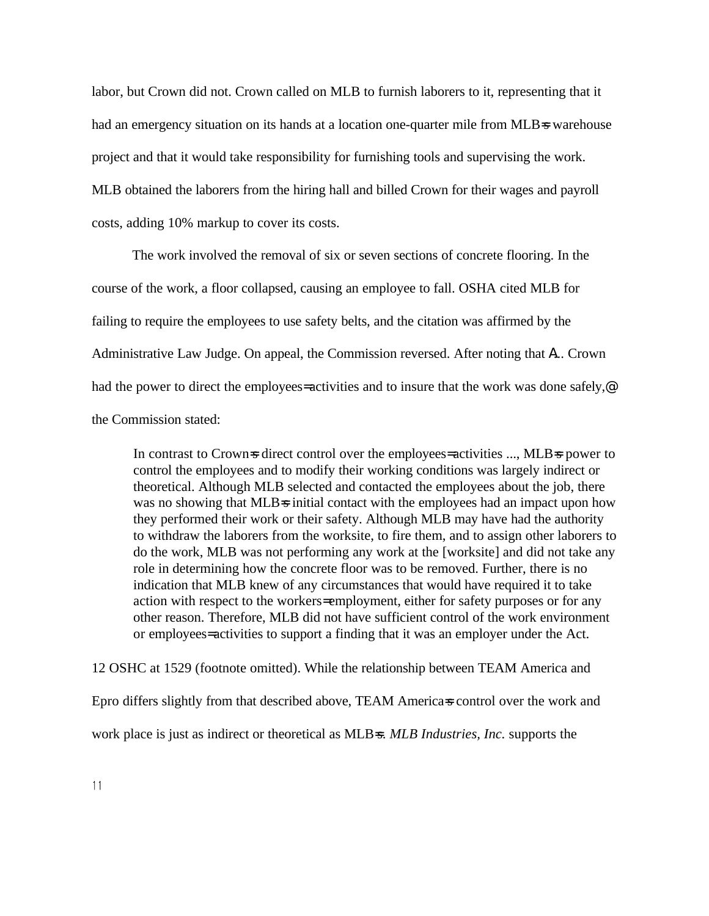labor, but Crown did not. Crown called on MLB to furnish laborers to it, representing that it had an emergency situation on its hands at a location one-quarter mile from MLB=s warehouse project and that it would take responsibility for furnishing tools and supervising the work. MLB obtained the laborers from the hiring hall and billed Crown for their wages and payroll costs, adding 10% markup to cover its costs.

The work involved the removal of six or seven sections of concrete flooring. In the course of the work, a floor collapsed, causing an employee to fall. OSHA cited MLB for failing to require the employees to use safety belts, and the citation was affirmed by the Administrative Law Judge. On appeal, the Commission reversed. After noting that A... Crown had the power to direct the employees= activities and to insure that the work was done safely,<sup>@</sup> the Commission stated:

In contrast to Crown=s direct control over the employees= activities ..., MLB=s power to control the employees and to modify their working conditions was largely indirect or theoretical. Although MLB selected and contacted the employees about the job, there was no showing that MLB=s initial contact with the employees had an impact upon how they performed their work or their safety. Although MLB may have had the authority to withdraw the laborers from the worksite, to fire them, and to assign other laborers to do the work, MLB was not performing any work at the [worksite] and did not take any role in determining how the concrete floor was to be removed. Further, there is no indication that MLB knew of any circumstances that would have required it to take action with respect to the workers= employment, either for safety purposes or for any other reason. Therefore, MLB did not have sufficient control of the work environment or employees= activities to support a finding that it was an employer under the Act.

12 OSHC at 1529 (footnote omitted). While the relationship between TEAM America and Epro differs slightly from that described above, TEAM America=s control over the work and work place is just as indirect or theoretical as MLB=s. *MLB Industries, Inc.* supports the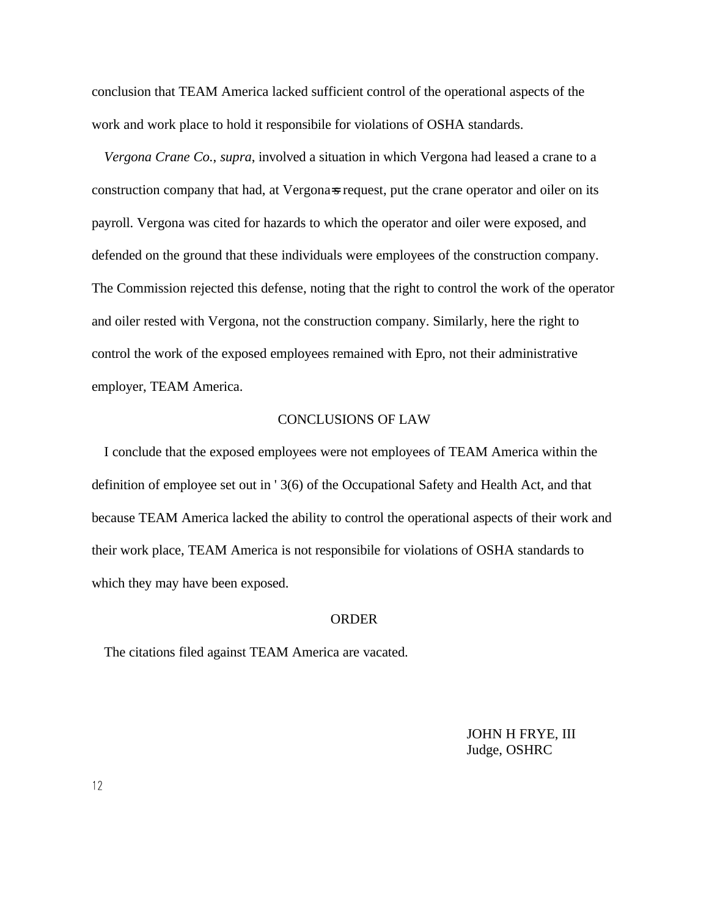conclusion that TEAM America lacked sufficient control of the operational aspects of the work and work place to hold it responsibile for violations of OSHA standards.

*Vergona Crane Co.*, *supra*, involved a situation in which Vergona had leased a crane to a construction company that had, at Vergonas request, put the crane operator and oiler on its payroll. Vergona was cited for hazards to which the operator and oiler were exposed, and defended on the ground that these individuals were employees of the construction company. The Commission rejected this defense, noting that the right to control the work of the operator and oiler rested with Vergona, not the construction company. Similarly, here the right to control the work of the exposed employees remained with Epro, not their administrative employer, TEAM America.

### CONCLUSIONS OF LAW

I conclude that the exposed employees were not employees of TEAM America within the definition of employee set out in ' 3(6) of the Occupational Safety and Health Act, and that because TEAM America lacked the ability to control the operational aspects of their work and their work place, TEAM America is not responsibile for violations of OSHA standards to which they may have been exposed.

### ORDER

The citations filed against TEAM America are vacated.

JOHN H FRYE, III Judge, OSHRC